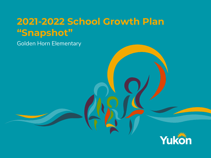### **2021-2022 School Growth Plan "Snapshot"**

Golden Horn Elementary

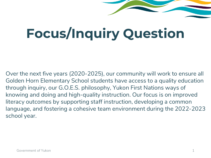# **Focus/Inquiry Question**

Over the next five years (2020-2025), our community will work to ensure all Golden Horn Elementary School students have access to a quality education through inquiry, our G.O.E.S. philosophy, Yukon First Nations ways of knowing and doing and high-quality instruction. Our focus is on improved literacy outcomes by supporting staff instruction, developing a common language, and fostering a cohesive team environment during the 2022-2023 school year.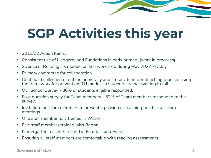# **SGP Activities this year**

- 2021/22 Action Items:
- Consistent use of Heggerty and Fundations in early primary (work in progress)
- Science of Reading six module on line workshop during May 2022 PD day
- Primary committee for collaboration
- Continued collection of data in numeracy and literacy to inform teaching practice using the framework for prevention RTI model, so students are not waiting to fail.
- Our School Survey 86% of students eligible responded.
- Four question survey for Team members 52% of Team members responded to the survey.
- Invitation for Team members to present a passion or teaching practice at Team meetings
- One staff member fully trained in Wilson.
- Five staff members trained with Barton.
- Kindergarten teachers trained in Fountais and Pinnell.
- Ensuring all staff members are comfortable with reading assessments.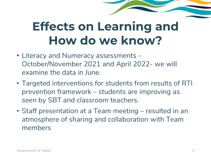## **Effects on Learning and How do we know?**

- Literacy and Numeracy assessments October/November 2021 and April 2022- we will examine the data in June.
- Targeted interventions for students from results of RTI prevention framework – students are improving as seen by SBT and classroom teachers.
- Staff presentation at a Team meeting resulted in an atmosphere of sharing and collaboration with Team members